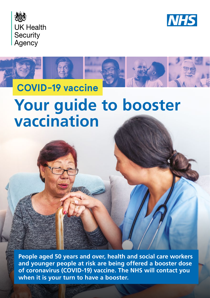





# **Your guide to booster vaccination**

**People aged 50 years and over, health and social care workers and younger people at risk are being offered a booster dose of coronavirus (COVID-19) vaccine. The NHS will contact you when it is your turn to have a booster.**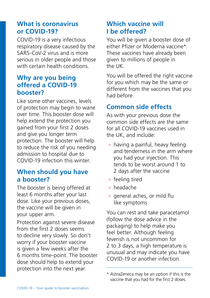# **What is coronavirus or COVID-19?**

COVID-19 is a very infectious respiratory disease caused by the SARS-CoV-2 virus and is more serious in older people and those with certain health conditions.

### **Why are you being offered a COVID-19 booster?**

Like some other vaccines, levels of protection may begin to wane over time. This booster dose will help extend the protection you gained from your first 2 doses and give you longer term protection. The booster will help to reduce the risk of you needing admission to hospital due to COVID-19 infection this winter.

#### **When should you have a booster?**

The booster is being offered at least 6 months after your last dose. Like your previous doses, the vaccine will be given in your upper arm.

Protection against severe disease from the first 2 doses seems to decline very slowly. So don't worry if your booster vaccine is given a few weeks after the 6 months time-point. The booster dose should help to extend your protection into the next year.

# **Which vaccine will I be offered?**

You will be given a booster dose of either Pfizer or Moderna vaccine\*. These vaccines have already been given to millions of people in the UK.

You will be offered the right vaccine for you which may be the same or different from the vaccines that you had before.

# **Common side effects**

As with your previous dose the common side effects are the same for all COVID-19 vaccines used in the UK, and include:

- $\bullet$  having a painful, heavy feeling and tenderness in the arm where you had your injection. This tends to be worst around 1 to 2 days after the vaccine
- $\bullet$  feeling tired
- headache
- general aches, or mild flu like symptoms

You can rest and take paracetamol (follow the dose advice in the packaging) to help make you feel better. Although feeling feverish is not uncommon for 2 to 3 days, a high temperature is unusual and may indicate you have COVID-19 or another infection.

<sup>\*</sup> AstraZeneca may be an option if this is the vaccine that you had for the first 2 doses.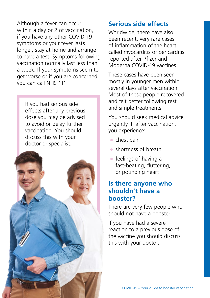Although a fever can occur within a day or 2 of vaccination, if you have any other COVID-19 symptoms or your fever lasts longer, stay at home and arrange to have a test. Symptoms following vaccination normally last less than a week. If your symptoms seem to get worse or if you are concerned, you can call NHS 111.

If you had serious side effects after any previous dose you may be advised to avoid or delay further vaccination. You should discuss this with your doctor or specialist.



# **Serious side effects**

Worldwide, there have also been recent, very rare cases of infammation of the heart called myocarditis or pericarditis reported after Pfizer and Moderna COVID-19 vaccines.

These cases have been seen mostly in younger men within several days after vaccination. Most of these people recovered and felt better following rest and simple treatments.

You should seek medical advice urgently if, after vaccination, you experience:

- chest pain
- shortness of breath
- $\bullet$  feelings of having a fast-beating, futtering, or pounding heart

#### **Is there anyone who shouldn't have a booster?**

There are very few people who should not have a booster.

If you have had a severe reaction to a previous dose of the vaccine you should discuss this with your doctor.